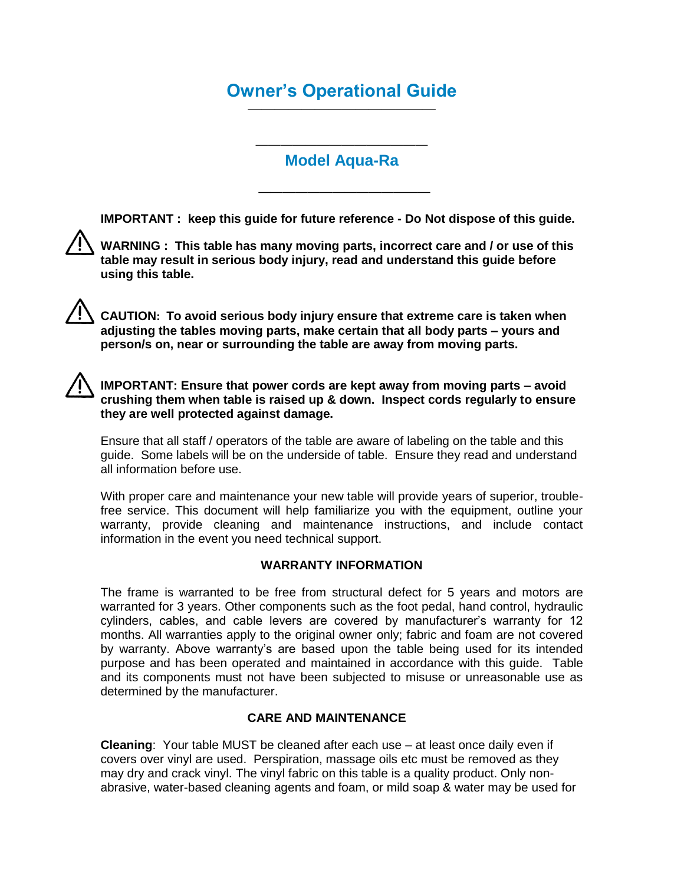## **Owner's Operational Guide** ——————————————

### —————————————— **Model Aqua-Ra**

**IMPORTANT : keep this guide for future reference - Do Not dispose of this guide.**

——————————————



**WARNING : This table has many moving parts, incorrect care and / or use of this table may result in serious body injury, read and understand this guide before using this table.**

**CAUTION: To avoid serious body injury ensure that extreme care is taken when adjusting the tables moving parts, make certain that all body parts – yours and person/s on, near or surrounding the table are away from moving parts.**

### **IMPORTANT: Ensure that power cords are kept away from moving parts – avoid crushing them when table is raised up & down. Inspect cords regularly to ensure they are well protected against damage.**

Ensure that all staff / operators of the table are aware of labeling on the table and this guide. Some labels will be on the underside of table. Ensure they read and understand all information before use.

With proper care and maintenance your new table will provide years of superior, troublefree service. This document will help familiarize you with the equipment, outline your warranty, provide cleaning and maintenance instructions, and include contact information in the event you need technical support.

### **WARRANTY INFORMATION**

The frame is warranted to be free from structural defect for 5 years and motors are warranted for 3 years. Other components such as the foot pedal, hand control, hydraulic cylinders, cables, and cable levers are covered by manufacturer's warranty for 12 months. All warranties apply to the original owner only; fabric and foam are not covered by warranty. Above warranty's are based upon the table being used for its intended purpose and has been operated and maintained in accordance with this guide. Table and its components must not have been subjected to misuse or unreasonable use as determined by the manufacturer.

### **CARE AND MAINTENANCE**

**Cleaning**: Your table MUST be cleaned after each use – at least once daily even if covers over vinyl are used. Perspiration, massage oils etc must be removed as they may dry and crack vinyl. The vinyl fabric on this table is a quality product. Only nonabrasive, water-based cleaning agents and foam, or mild soap & water may be used for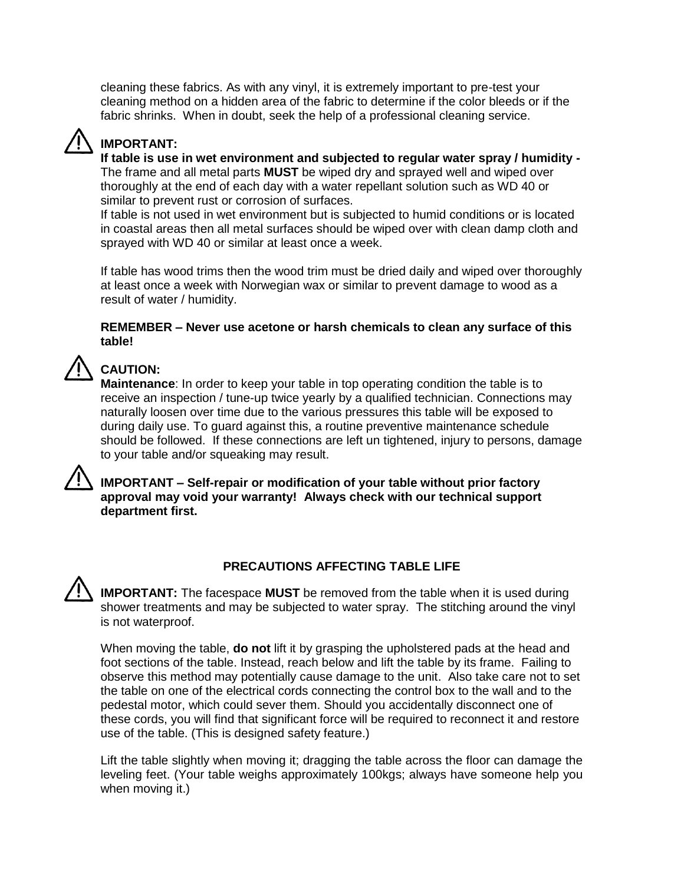cleaning these fabrics. As with any vinyl, it is extremely important to pre-test your cleaning method on a hidden area of the fabric to determine if the color bleeds or if the fabric shrinks. When in doubt, seek the help of a professional cleaning service.

# **IMPORTANT:**

**If table is use in wet environment and subjected to regular water spray / humidity -** The frame and all metal parts **MUST** be wiped dry and sprayed well and wiped over thoroughly at the end of each day with a water repellant solution such as WD 40 or similar to prevent rust or corrosion of surfaces.

If table is not used in wet environment but is subjected to humid conditions or is located in coastal areas then all metal surfaces should be wiped over with clean damp cloth and sprayed with WD 40 or similar at least once a week.

If table has wood trims then the wood trim must be dried daily and wiped over thoroughly at least once a week with Norwegian wax or similar to prevent damage to wood as a result of water / humidity.

### **REMEMBER – Never use acetone or harsh chemicals to clean any surface of this table!**

# **CAUTION:**

**Maintenance**: In order to keep your table in top operating condition the table is to receive an inspection / tune-up twice yearly by a qualified technician. Connections may naturally loosen over time due to the various pressures this table will be exposed to during daily use. To guard against this, a routine preventive maintenance schedule should be followed. If these connections are left un tightened, injury to persons, damage to your table and/or squeaking may result.

**IMPORTANT – Self-repair or modification of your table without prior factory approval may void your warranty! Always check with our technical support department first.** 

### **PRECAUTIONS AFFECTING TABLE LIFE**

**IMPORTANT:** The facespace **MUST** be removed from the table when it is used during shower treatments and may be subjected to water spray. The stitching around the vinyl is not waterproof.

When moving the table, **do not** lift it by grasping the upholstered pads at the head and foot sections of the table. Instead, reach below and lift the table by its frame. Failing to observe this method may potentially cause damage to the unit. Also take care not to set the table on one of the electrical cords connecting the control box to the wall and to the pedestal motor, which could sever them. Should you accidentally disconnect one of these cords, you will find that significant force will be required to reconnect it and restore use of the table. (This is designed safety feature.)

Lift the table slightly when moving it; dragging the table across the floor can damage the leveling feet. (Your table weighs approximately 100kgs; always have someone help you when moving it.)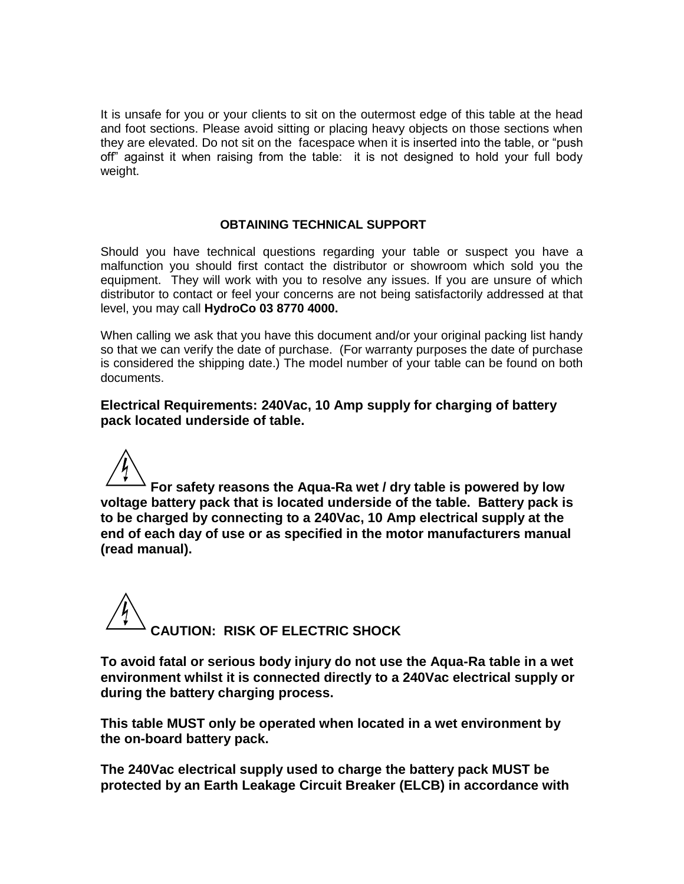It is unsafe for you or your clients to sit on the outermost edge of this table at the head and foot sections. Please avoid sitting or placing heavy objects on those sections when they are elevated. Do not sit on the facespace when it is inserted into the table, or "push off" against it when raising from the table: it is not designed to hold your full body weight.

#### **OBTAINING TECHNICAL SUPPORT**

Should you have technical questions regarding your table or suspect you have a malfunction you should first contact the distributor or showroom which sold you the equipment. They will work with you to resolve any issues. If you are unsure of which distributor to contact or feel your concerns are not being satisfactorily addressed at that level, you may call **HydroCo 03 8770 4000.**

When calling we ask that you have this document and/or your original packing list handy so that we can verify the date of purchase. (For warranty purposes the date of purchase is considered the shipping date.) The model number of your table can be found on both documents.

**Electrical Requirements: 240Vac, 10 Amp supply for charging of battery pack located underside of table.**

**For safety reasons the Aqua-Ra wet / dry table is powered by low voltage battery pack that is located underside of the table. Battery pack is to be charged by connecting to a 240Vac, 10 Amp electrical supply at the end of each day of use or as specified in the motor manufacturers manual (read manual).**

**CAUTION: RISK OF ELECTRIC SHOCK**

**To avoid fatal or serious body injury do not use the Aqua-Ra table in a wet environment whilst it is connected directly to a 240Vac electrical supply or during the battery charging process.**

**This table MUST only be operated when located in a wet environment by the on-board battery pack.** 

**The 240Vac electrical supply used to charge the battery pack MUST be protected by an Earth Leakage Circuit Breaker (ELCB) in accordance with**